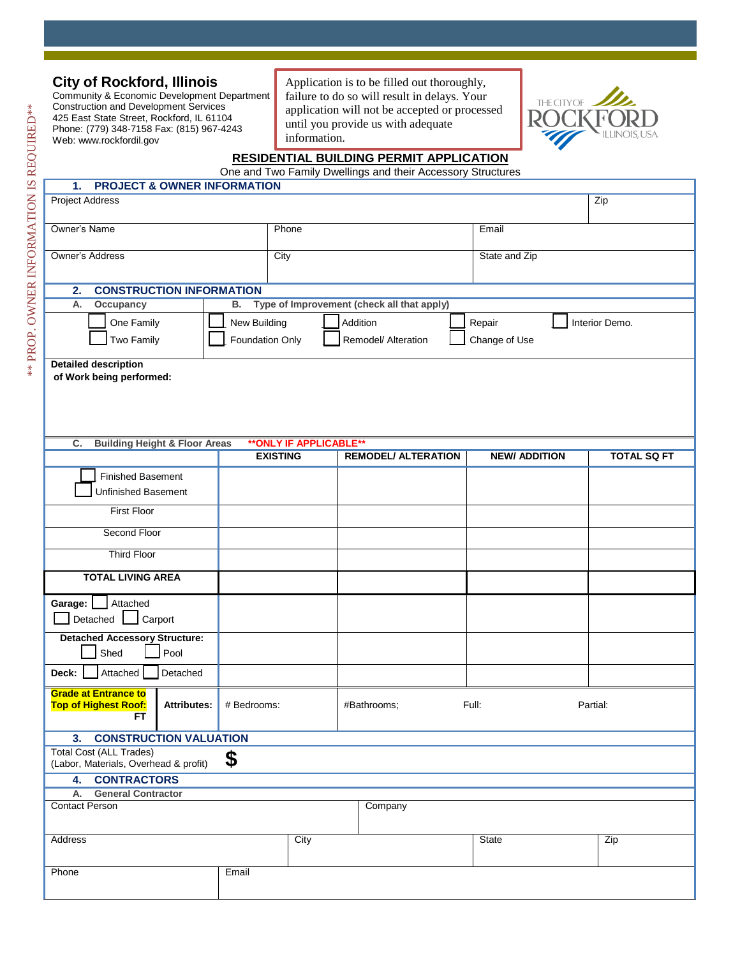| <b>City of Rockford, Illinois</b>                                                                             |                                                                                       |                                               | Application is to be filled out thoroughly,                 |                                            |                      |                    |  |  |  |  |  |  |
|---------------------------------------------------------------------------------------------------------------|---------------------------------------------------------------------------------------|-----------------------------------------------|-------------------------------------------------------------|--------------------------------------------|----------------------|--------------------|--|--|--|--|--|--|
| Community & Economic Development Department<br><b>Construction and Development Services</b>                   |                                                                                       |                                               | failure to do so will result in delays. Your<br>THE CITY OF |                                            |                      |                    |  |  |  |  |  |  |
| 425 East State Street, Rockford, IL 61104                                                                     |                                                                                       | application will not be accepted or processed |                                                             |                                            |                      |                    |  |  |  |  |  |  |
| Phone: (779) 348-7158 Fax: (815) 967-4243                                                                     |                                                                                       |                                               | until you provide us with adequate<br>information.          |                                            |                      |                    |  |  |  |  |  |  |
| Web: www.rockfordil.gov                                                                                       |                                                                                       |                                               |                                                             |                                            |                      |                    |  |  |  |  |  |  |
| <b>RESIDENTIAL BUILDING PERMIT APPLICATION</b><br>One and Two Family Dwellings and their Accessory Structures |                                                                                       |                                               |                                                             |                                            |                      |                    |  |  |  |  |  |  |
| <b>PROJECT &amp; OWNER INFORMATION</b><br>1.                                                                  |                                                                                       |                                               |                                                             |                                            |                      |                    |  |  |  |  |  |  |
| <b>Project Address</b>                                                                                        |                                                                                       |                                               |                                                             |                                            | Zip                  |                    |  |  |  |  |  |  |
| Owner's Name                                                                                                  |                                                                                       |                                               | Phone                                                       |                                            | Email                |                    |  |  |  |  |  |  |
| Owner's Address                                                                                               |                                                                                       |                                               | City                                                        |                                            | State and Zip        |                    |  |  |  |  |  |  |
| <b>CONSTRUCTION INFORMATION</b><br>2.                                                                         |                                                                                       |                                               |                                                             |                                            |                      |                    |  |  |  |  |  |  |
| А.<br>Occupancy                                                                                               |                                                                                       | В.                                            |                                                             | Type of Improvement (check all that apply) |                      |                    |  |  |  |  |  |  |
| One Family                                                                                                    |                                                                                       | New Building                                  |                                                             |                                            | Repair               |                    |  |  |  |  |  |  |
| Two Family                                                                                                    | Addition<br>Interior Demo.<br>Foundation Only<br>Remodel/ Alteration<br>Change of Use |                                               |                                                             |                                            |                      |                    |  |  |  |  |  |  |
| <b>Detailed description</b><br>of Work being performed:                                                       |                                                                                       |                                               |                                                             |                                            |                      |                    |  |  |  |  |  |  |
|                                                                                                               |                                                                                       |                                               |                                                             |                                            |                      |                    |  |  |  |  |  |  |
|                                                                                                               |                                                                                       |                                               |                                                             |                                            |                      |                    |  |  |  |  |  |  |
|                                                                                                               |                                                                                       |                                               |                                                             |                                            |                      |                    |  |  |  |  |  |  |
| ** ONLY IF APPLICABLE**                                                                                       |                                                                                       |                                               |                                                             |                                            |                      |                    |  |  |  |  |  |  |
| C.<br><b>Building Height &amp; Floor Areas</b>                                                                |                                                                                       |                                               | <b>EXISTING</b>                                             | <b>REMODEL/ ALTERATION</b>                 | <b>NEW/ ADDITION</b> | <b>TOTAL SQ FT</b> |  |  |  |  |  |  |
|                                                                                                               |                                                                                       |                                               |                                                             |                                            |                      |                    |  |  |  |  |  |  |
| <b>Finished Basement</b><br>Unfinished Basement                                                               |                                                                                       |                                               |                                                             |                                            |                      |                    |  |  |  |  |  |  |
| <b>First Floor</b>                                                                                            |                                                                                       |                                               |                                                             |                                            |                      |                    |  |  |  |  |  |  |
| Second Floor                                                                                                  |                                                                                       |                                               |                                                             |                                            |                      |                    |  |  |  |  |  |  |
| <b>Third Floor</b>                                                                                            |                                                                                       |                                               |                                                             |                                            |                      |                    |  |  |  |  |  |  |
|                                                                                                               |                                                                                       |                                               |                                                             |                                            |                      |                    |  |  |  |  |  |  |
| <b>TOTAL LIVING AREA</b>                                                                                      |                                                                                       |                                               |                                                             |                                            |                      |                    |  |  |  |  |  |  |
| Attached<br>Garage:                                                                                           |                                                                                       |                                               |                                                             |                                            |                      |                    |  |  |  |  |  |  |
| Detached Carport                                                                                              |                                                                                       |                                               |                                                             |                                            |                      |                    |  |  |  |  |  |  |
| <b>Detached Accessory Structure:</b><br>Pool<br>Shed                                                          |                                                                                       |                                               |                                                             |                                            |                      |                    |  |  |  |  |  |  |
| Deck:<br>Attached                                                                                             | Detached                                                                              |                                               |                                                             |                                            |                      |                    |  |  |  |  |  |  |
| <b>Grade at Entrance to</b><br><b>Top of Highest Roof:</b><br>FT.                                             | <b>Attributes:</b>                                                                    | # Bedrooms:                                   |                                                             | Full:<br>#Bathrooms;<br>Partial:           |                      |                    |  |  |  |  |  |  |
| <b>CONSTRUCTION VALUATION</b><br>3 <sub>1</sub>                                                               |                                                                                       |                                               |                                                             |                                            |                      |                    |  |  |  |  |  |  |
| <b>Total Cost (ALL Trades)</b><br>\$<br>(Labor, Materials, Overhead & profit)                                 |                                                                                       |                                               |                                                             |                                            |                      |                    |  |  |  |  |  |  |
| 4. CONTRACTORS                                                                                                |                                                                                       |                                               |                                                             |                                            |                      |                    |  |  |  |  |  |  |
| <b>General Contractor</b><br>А.                                                                               |                                                                                       |                                               |                                                             |                                            |                      |                    |  |  |  |  |  |  |
| <b>Contact Person</b>                                                                                         |                                                                                       |                                               |                                                             | Company                                    |                      |                    |  |  |  |  |  |  |
| Address                                                                                                       |                                                                                       |                                               | City                                                        |                                            | State                | Zip                |  |  |  |  |  |  |
| Phone                                                                                                         |                                                                                       | Email                                         |                                                             |                                            |                      |                    |  |  |  |  |  |  |
|                                                                                                               |                                                                                       |                                               |                                                             |                                            |                      |                    |  |  |  |  |  |  |

ì

f